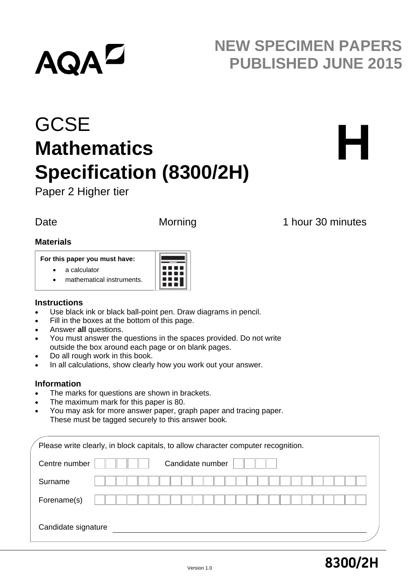# **AQAL**

## **NEW SPECIMEN PAPERS PUBLISHED JUNE 2015**

## **GCSE Mathematics Specification (8300/2H)**



Paper 2 Higher tier

Date Morning 1 hour 30 minutes

#### **Materials**

#### **For this paper you must have:**

- a calculator
- mathematical instruments.



### **Instructions**

- Use black ink or black ball-point pen. Draw diagrams in pencil.
- Fill in the boxes at the bottom of this page.
- Answer **all** questions.
- You must answer the questions in the spaces provided. Do not write outside the box around each page or on blank pages.
- Do all rough work in this book.
- In all calculations, show clearly how you work out your answer.

### **Information**

- The marks for questions are shown in brackets.
- The maximum mark for this paper is 80.
- You may ask for more answer paper, graph paper and tracing paper. These must be tagged securely to this answer book.

| Please write clearly, in block capitals, to allow character computer recognition. |  |
|-----------------------------------------------------------------------------------|--|
| Candidate number<br>Centre number                                                 |  |
| Surname                                                                           |  |
| Forename(s)                                                                       |  |
| Candidate signature                                                               |  |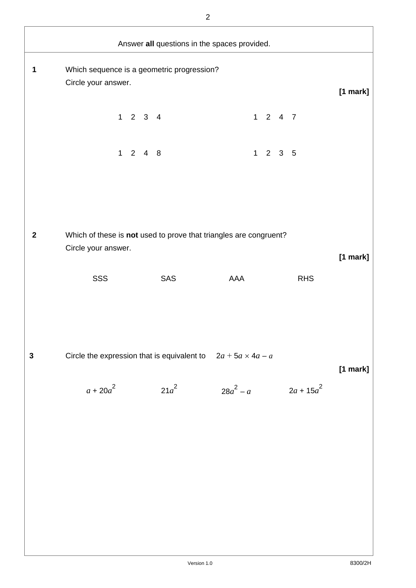|                  |                                                                                          |                             |         | Answer all questions in the spaces provided. |                             |              |          |
|------------------|------------------------------------------------------------------------------------------|-----------------------------|---------|----------------------------------------------|-----------------------------|--------------|----------|
| 1                | Which sequence is a geometric progression?<br>Circle your answer.                        |                             |         |                                              |                             |              | [1 mark] |
|                  |                                                                                          | $1 \quad 2 \quad 3 \quad 4$ |         |                                              | $1 2 4 7$                   |              |          |
|                  |                                                                                          | $1 2 4 8$                   |         |                                              | $1 \quad 2 \quad 3 \quad 5$ |              |          |
|                  |                                                                                          |                             |         |                                              |                             |              |          |
| $\boldsymbol{2}$ | Which of these is not used to prove that triangles are congruent?<br>Circle your answer. |                             |         |                                              |                             |              | [1 mark] |
|                  | SSS                                                                                      |                             | SAS     | AAA                                          |                             | <b>RHS</b>   |          |
|                  |                                                                                          |                             |         |                                              |                             |              |          |
| $\mathbf{3}$     | Circle the expression that is equivalent to $2a + 5a \times 4a - a$                      |                             |         |                                              |                             |              | [1 mark] |
|                  | $a + 20a^2$                                                                              |                             | $21a^2$ | $28a^2 - a$                                  |                             | $2a + 15a^2$ |          |
|                  |                                                                                          |                             |         |                                              |                             |              |          |
|                  |                                                                                          |                             |         |                                              |                             |              |          |
|                  |                                                                                          |                             |         |                                              |                             |              |          |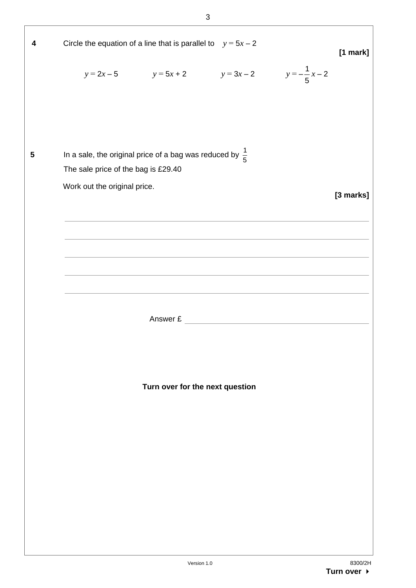4 Circle the equation of a line that is parallel to 
$$
y = 5x - 2
$$
 [1 mark]  
\n $y = 2x - 5$   $y = 5x + 2$   $y = 3x - 2$   $y = -\frac{1}{5}x - 2$   
\n  
\n5 In a sale, the original price of a bag was reduced by  $\frac{1}{5}$   
\nThe sale price of the bag is £29.40  
\nWork out the original price.  
\n  
\nAnswer £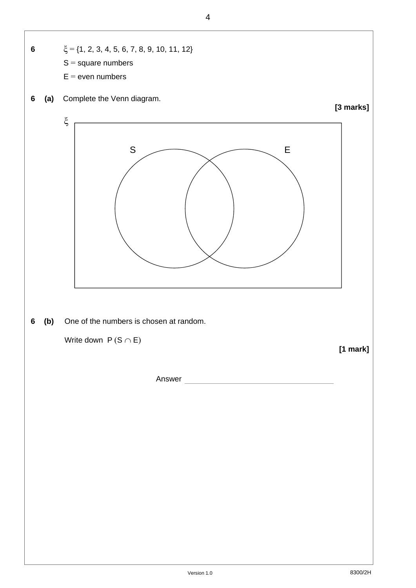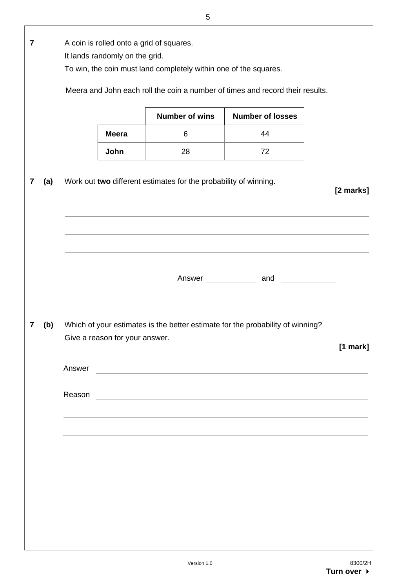|                         |     |        |                                                                            | 5                                                                |                                                                                                                                                       |            |
|-------------------------|-----|--------|----------------------------------------------------------------------------|------------------------------------------------------------------|-------------------------------------------------------------------------------------------------------------------------------------------------------|------------|
| $\overline{\mathbf{7}}$ |     |        | A coin is rolled onto a grid of squares.<br>It lands randomly on the grid. | To win, the coin must land completely within one of the squares. |                                                                                                                                                       |            |
|                         |     |        |                                                                            |                                                                  | Meera and John each roll the coin a number of times and record their results.                                                                         |            |
|                         |     |        |                                                                            | <b>Number of wins</b>                                            | <b>Number of losses</b>                                                                                                                               |            |
|                         |     |        | <b>Meera</b>                                                               | 6                                                                | 44                                                                                                                                                    |            |
|                         |     |        | John                                                                       | 28                                                               | 72                                                                                                                                                    |            |
| 7                       | (a) |        |                                                                            | Work out two different estimates for the probability of winning. |                                                                                                                                                       | [2 marks]  |
|                         |     |        |                                                                            |                                                                  |                                                                                                                                                       |            |
|                         |     |        |                                                                            |                                                                  |                                                                                                                                                       |            |
| 7                       | (b) | Answer | Give a reason for your answer.                                             |                                                                  | Which of your estimates is the better estimate for the probability of winning?<br><u> 1989 - Andrea Station Barbara, amerikan personal (h. 1989).</u> | $[1$ mark] |
|                         |     | Reason |                                                                            |                                                                  | <u> 1989 - Andrea Station Barbara, amerikan personal (h. 1989).</u>                                                                                   |            |
|                         |     |        |                                                                            |                                                                  |                                                                                                                                                       |            |
|                         |     |        |                                                                            |                                                                  |                                                                                                                                                       |            |
|                         |     |        |                                                                            |                                                                  |                                                                                                                                                       |            |
|                         |     |        |                                                                            |                                                                  |                                                                                                                                                       |            |
|                         |     |        |                                                                            |                                                                  |                                                                                                                                                       |            |
|                         |     |        |                                                                            |                                                                  |                                                                                                                                                       |            |
|                         |     |        |                                                                            |                                                                  |                                                                                                                                                       |            |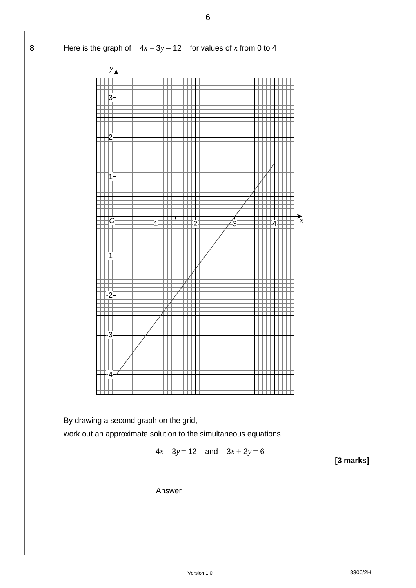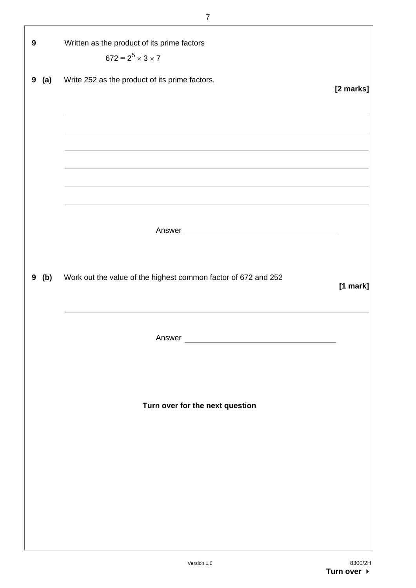| 9        | Written as the product of its prime factors                                                                          |           |
|----------|----------------------------------------------------------------------------------------------------------------------|-----------|
|          | $672 = 2^5 \times 3 \times 7$                                                                                        |           |
| 9<br>(a) | Write 252 as the product of its prime factors.                                                                       | [2 marks] |
|          | and the control of the control of the control of the control of the control of the control of the control of the     |           |
|          | <u> 1980 - Andrea Brand, Amerikaansk politiker († 1908)</u>                                                          |           |
|          | and the control of the control of the control of the control of the control of the control of the control of the     |           |
|          |                                                                                                                      |           |
|          | <u> 1989 - Johann Stein, marwolaethau a bhann an t-Amhair an t-Amhair an t-Amhair an t-Amhair an t-Amhair an t-A</u> |           |
|          | <u> 1989 - Johann Stoff, fransk politik (f. 1989)</u>                                                                |           |
|          |                                                                                                                      |           |
|          |                                                                                                                      |           |
|          |                                                                                                                      |           |
| 9<br>(b) | Work out the value of the highest common factor of 672 and 252                                                       |           |
|          |                                                                                                                      | [1 mark]  |
|          |                                                                                                                      |           |
|          |                                                                                                                      |           |
|          | Answer                                                                                                               |           |
|          |                                                                                                                      |           |
|          |                                                                                                                      |           |
|          | Turn over for the next question                                                                                      |           |
|          |                                                                                                                      |           |
|          |                                                                                                                      |           |
|          |                                                                                                                      |           |
|          |                                                                                                                      |           |
|          |                                                                                                                      |           |
|          |                                                                                                                      |           |
|          |                                                                                                                      |           |
|          |                                                                                                                      |           |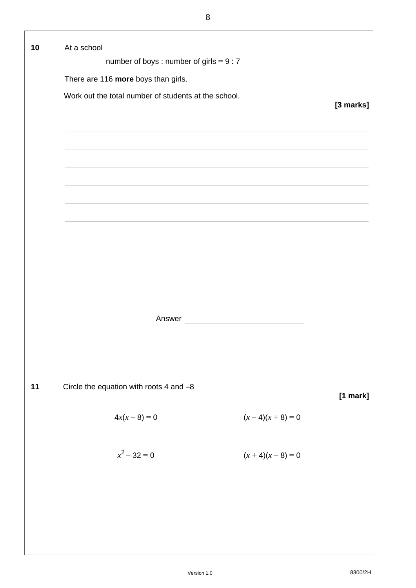| 10 | At a school                                          |           |
|----|------------------------------------------------------|-----------|
|    | number of boys: number of girls = $9:7$              |           |
|    | There are 116 more boys than girls.                  |           |
|    | Work out the total number of students at the school. | [3 marks] |
|    |                                                      |           |
|    |                                                      |           |
|    |                                                      |           |
|    |                                                      |           |
|    |                                                      |           |
|    |                                                      |           |
|    |                                                      |           |
|    |                                                      |           |
|    |                                                      |           |
|    |                                                      |           |
|    |                                                      |           |
|    | <u> 1980 - Johann Barbara, martxa a</u><br>Answer    |           |
|    |                                                      |           |
|    |                                                      |           |
|    |                                                      |           |
| 11 | Circle the equation with roots 4 and $-8$            | [1 mark]  |
|    |                                                      |           |
|    | $4x(x-8)=0$<br>$(x-4)(x+8)=0$                        |           |
|    |                                                      |           |
|    | $x^2 - 32 = 0$<br>$(x + 4)(x - 8) = 0$               |           |
|    |                                                      |           |
|    |                                                      |           |
|    |                                                      |           |
|    |                                                      |           |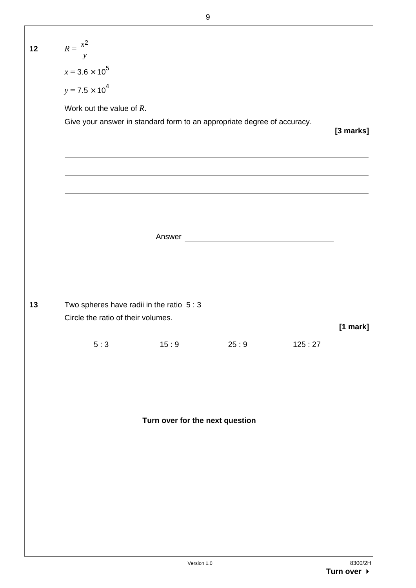| 12 | $R = \frac{x^2}{y}$<br>$x = 3.6 \times 10^5$<br>$y = 7.5 \times 10^4$<br>Work out the value of $R$ . | Give your answer in standard form to an appropriate degree of accuracy. |        |        | [3 marks] |
|----|------------------------------------------------------------------------------------------------------|-------------------------------------------------------------------------|--------|--------|-----------|
| 13 |                                                                                                      | Two spheres have radii in the ratio $5:3$                               | Answer |        |           |
|    | Circle the ratio of their volumes.<br>5:3                                                            | 15:9                                                                    | 25:9   | 125:27 | [1 mark]  |
|    |                                                                                                      | Turn over for the next question                                         |        |        |           |
|    |                                                                                                      | Version 1.0                                                             |        |        | 8300/2H   |

 $\overline{\phantom{a}}$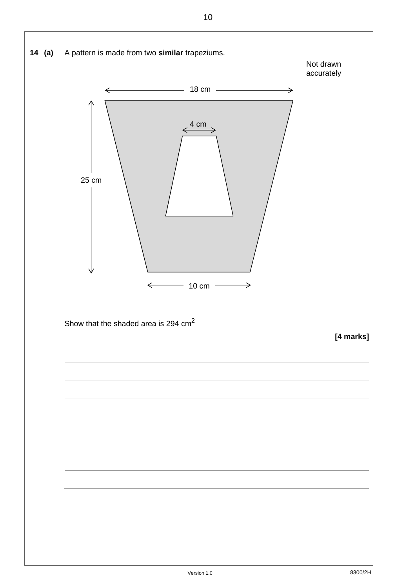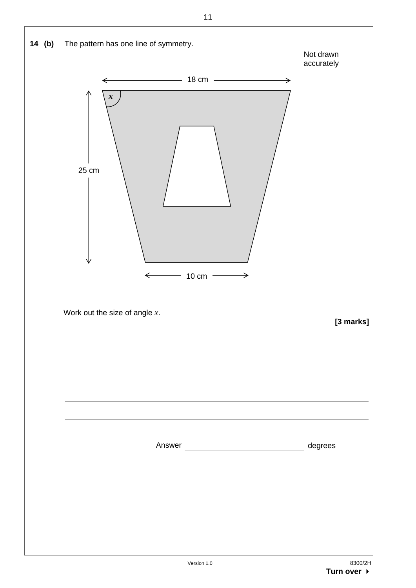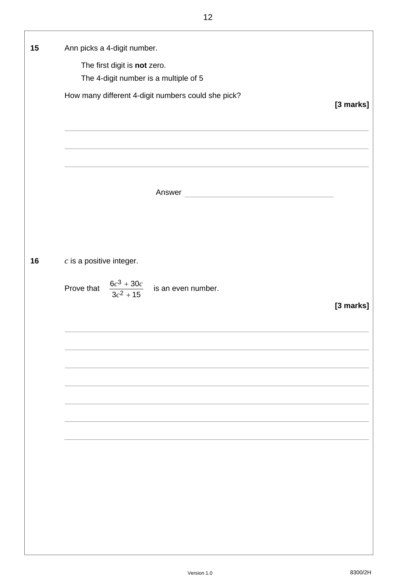| 15 | Ann picks a 4-digit number.<br>The first digit is not zero.<br>The 4-digit number is a multiple of 5<br>How many different 4-digit numbers could she pick? | [3 marks] |
|----|------------------------------------------------------------------------------------------------------------------------------------------------------------|-----------|
|    | Answer<br><u> 1989 - Johann Stoff, fransk politik (d. 1989)</u>                                                                                            |           |
| 16 | $c$ is a positive integer.                                                                                                                                 |           |
|    | Prove that $\frac{6c^3 + 30c}{3c^2 + 15}$ is an even number.                                                                                               | [3 marks] |
|    |                                                                                                                                                            |           |
|    |                                                                                                                                                            |           |
|    |                                                                                                                                                            |           |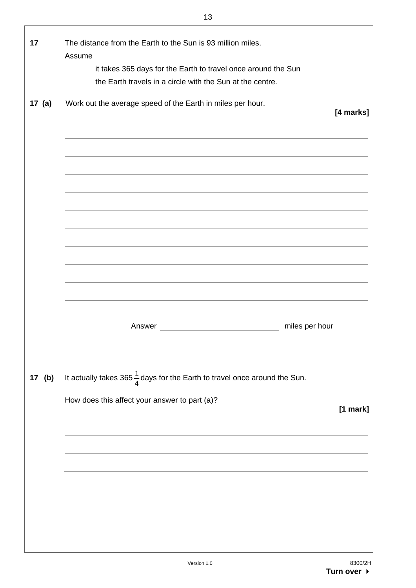| 17       | The distance from the Earth to the Sun is 93 million miles.                                                                |           |
|----------|----------------------------------------------------------------------------------------------------------------------------|-----------|
|          | Assume                                                                                                                     |           |
|          | it takes 365 days for the Earth to travel once around the Sun<br>the Earth travels in a circle with the Sun at the centre. |           |
|          |                                                                                                                            |           |
| 17 $(a)$ | Work out the average speed of the Earth in miles per hour.                                                                 |           |
|          |                                                                                                                            | [4 marks] |
|          |                                                                                                                            |           |
|          |                                                                                                                            |           |
|          |                                                                                                                            |           |
|          | <u> 1989 - Johann Stoff, Amerikaansk politiker (* 1908)</u>                                                                |           |
|          |                                                                                                                            |           |
|          |                                                                                                                            |           |
|          |                                                                                                                            |           |
|          |                                                                                                                            |           |
|          |                                                                                                                            |           |
|          |                                                                                                                            |           |
|          |                                                                                                                            |           |
|          |                                                                                                                            |           |
|          |                                                                                                                            |           |
|          | Answer<br>miles per hour<br><u> 1980 - Johann Barn, mars an t-Amerikaansk politiker (</u>                                  |           |
|          |                                                                                                                            |           |
|          |                                                                                                                            |           |
|          |                                                                                                                            |           |
| 17 (b)   | It actually takes 365 $\frac{1}{4}$ days for the Earth to travel once around the Sun.                                      |           |
|          | How does this affect your answer to part (a)?                                                                              |           |
|          |                                                                                                                            | [1 mark]  |
|          |                                                                                                                            |           |
|          |                                                                                                                            |           |
|          |                                                                                                                            |           |
|          |                                                                                                                            |           |
|          |                                                                                                                            |           |
|          |                                                                                                                            |           |
|          |                                                                                                                            |           |
|          |                                                                                                                            |           |
|          |                                                                                                                            |           |
|          |                                                                                                                            |           |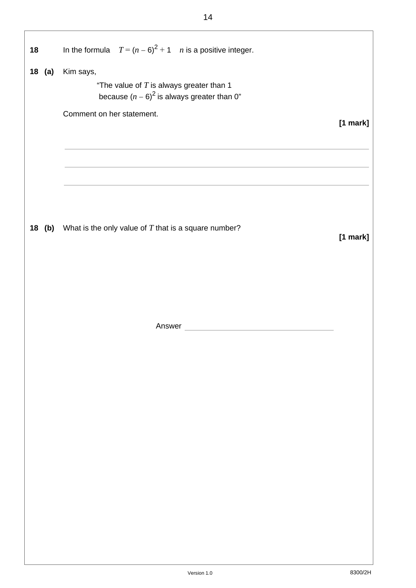| 18       | In the formula $T = (n - 6)^2 + 1$ <i>n</i> is a positive integer.                                       |            |
|----------|----------------------------------------------------------------------------------------------------------|------------|
|          |                                                                                                          |            |
| $18$ (a) | Kim says,<br>"The value of $T$ is always greater than 1<br>because $(n - 6)^2$ is always greater than 0" |            |
|          | Comment on her statement.                                                                                | $[1$ mark] |
|          |                                                                                                          |            |
|          | 18 (b) What is the only value of $T$ that is a square number?                                            |            |
|          |                                                                                                          | $[1$ mark] |
|          |                                                                                                          |            |
|          |                                                                                                          |            |
|          |                                                                                                          |            |
|          |                                                                                                          |            |
|          |                                                                                                          |            |
|          |                                                                                                          |            |
|          |                                                                                                          |            |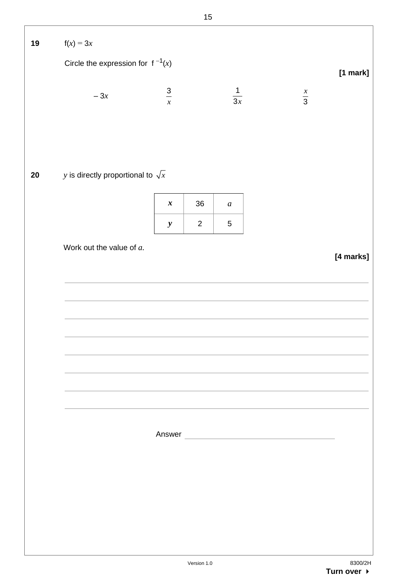| 19 | $f(x) = 3x$                              |                  |                |                  |                                                                                                                      |             |
|----|------------------------------------------|------------------|----------------|------------------|----------------------------------------------------------------------------------------------------------------------|-------------|
|    | Circle the expression for $f^{-1}(x)$    |                  |                |                  |                                                                                                                      | $[1$ mark]  |
|    | $-3x$                                    | $\frac{3}{x}$    |                | $\frac{1}{3x}$   |                                                                                                                      | $rac{x}{3}$ |
|    |                                          |                  |                |                  |                                                                                                                      |             |
| 20 | y is directly proportional to $\sqrt{x}$ |                  |                |                  |                                                                                                                      |             |
|    |                                          | $\boldsymbol{x}$ | $36\,$         | $\boldsymbol{a}$ |                                                                                                                      |             |
|    |                                          | $\boldsymbol{y}$ | $\overline{2}$ | $\mathbf 5$      |                                                                                                                      |             |
|    | Work out the value of a.                 |                  |                |                  |                                                                                                                      | [4 marks]   |
|    |                                          |                  |                |                  |                                                                                                                      |             |
|    |                                          |                  |                |                  |                                                                                                                      |             |
|    |                                          |                  |                |                  |                                                                                                                      |             |
|    |                                          |                  |                |                  |                                                                                                                      |             |
|    |                                          |                  |                |                  |                                                                                                                      |             |
|    |                                          |                  |                |                  |                                                                                                                      |             |
|    |                                          | Answer           |                |                  | <u> 1989 - Johann Barn, mars ar breist fan de Fryske kommunent fan de ferstjerke fan de ferstjerke fan de ferstj</u> |             |
|    |                                          |                  |                |                  |                                                                                                                      |             |
|    |                                          |                  |                |                  |                                                                                                                      |             |
|    |                                          |                  |                |                  |                                                                                                                      |             |
|    |                                          |                  |                |                  |                                                                                                                      |             |
|    |                                          |                  |                |                  |                                                                                                                      |             |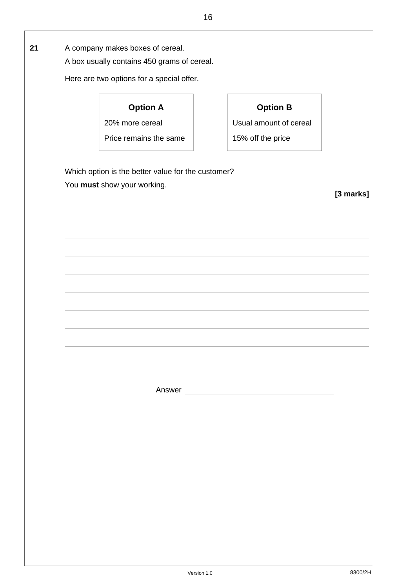| A box usually contains 450 grams of cereal.        |                        |           |
|----------------------------------------------------|------------------------|-----------|
| Here are two options for a special offer.          |                        |           |
| <b>Option A</b>                                    | <b>Option B</b>        |           |
| 20% more cereal                                    | Usual amount of cereal |           |
| Price remains the same                             | 15% off the price      |           |
| Which option is the better value for the customer? |                        |           |
| You must show your working.                        |                        |           |
|                                                    |                        | [3 marks] |
|                                                    |                        |           |
|                                                    |                        |           |
|                                                    |                        |           |
|                                                    |                        |           |
|                                                    |                        |           |
|                                                    |                        |           |
|                                                    |                        |           |
|                                                    |                        |           |
|                                                    |                        |           |
|                                                    |                        |           |
|                                                    |                        |           |
|                                                    |                        |           |
|                                                    |                        |           |
|                                                    |                        |           |
|                                                    | Answer                 |           |
|                                                    |                        |           |
|                                                    |                        |           |
|                                                    |                        |           |
|                                                    |                        |           |
|                                                    |                        |           |
|                                                    |                        |           |
|                                                    |                        |           |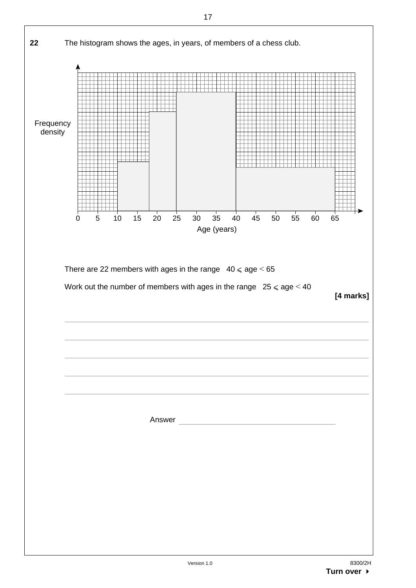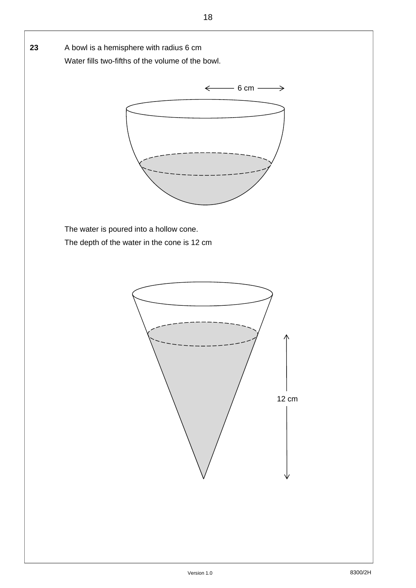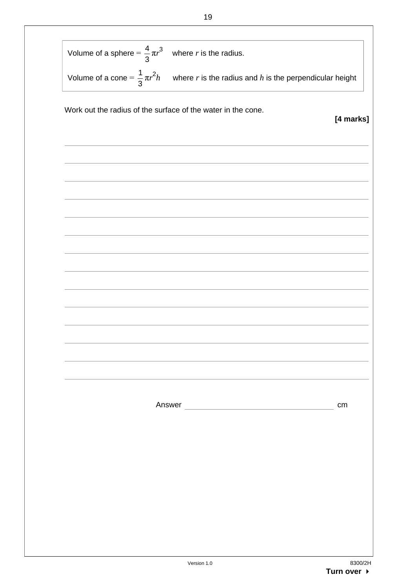| Volume of a sphere = $\frac{4}{3}\pi r^3$ where r is the radius. |                                                                                                               |           |
|------------------------------------------------------------------|---------------------------------------------------------------------------------------------------------------|-----------|
|                                                                  | Volume of a cone = $\frac{1}{3}\pi r^2 h$ where r is the radius and h is the perpendicular height             |           |
|                                                                  | Work out the radius of the surface of the water in the cone.                                                  | [4 marks] |
|                                                                  |                                                                                                               |           |
|                                                                  |                                                                                                               |           |
|                                                                  |                                                                                                               |           |
|                                                                  |                                                                                                               |           |
|                                                                  |                                                                                                               |           |
|                                                                  |                                                                                                               |           |
|                                                                  |                                                                                                               |           |
|                                                                  |                                                                                                               |           |
|                                                                  |                                                                                                               |           |
|                                                                  |                                                                                                               |           |
|                                                                  | Answer 2008 2009 2010 2021 2022 2023 2024 2022 2023 2024 2022 2023 2024 2022 2023 2024 2025 2026 2027 2028 20 | cm        |
|                                                                  |                                                                                                               |           |
|                                                                  |                                                                                                               |           |
|                                                                  |                                                                                                               |           |
|                                                                  |                                                                                                               |           |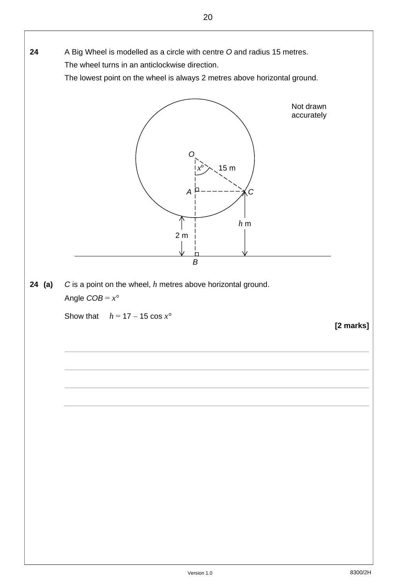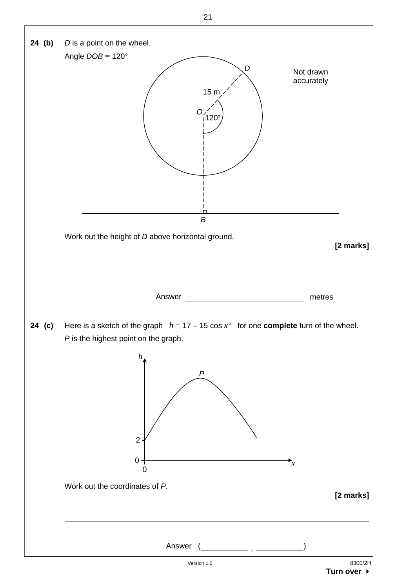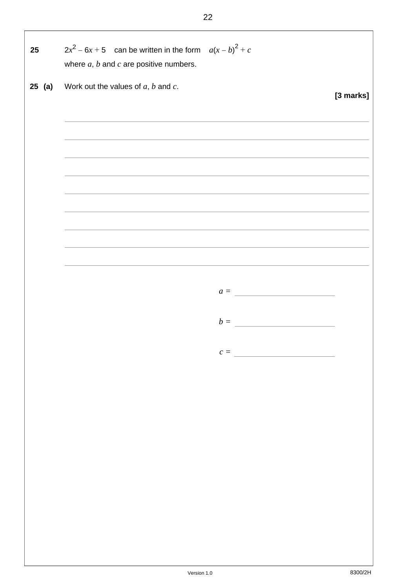**25**  $2x^2 - 6x + 5$  can be written in the form  $a(x - b)^2 + c$  where *a*, *b* and *c* are positive numbers. **25 (a)** Work out the values of *a*, *b* and *c*. **[3 marks]** *a = b = c =*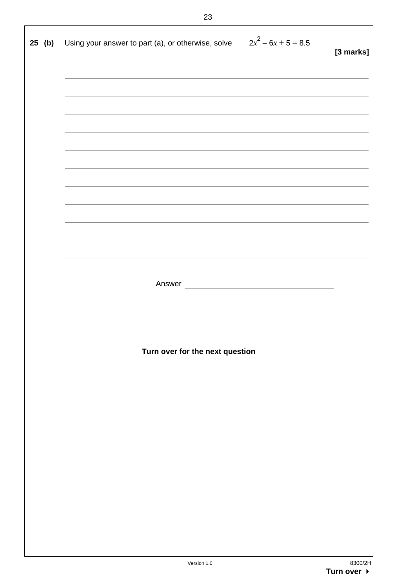| 25 (b) | Using your answer to part (a), or otherwise, solve $2x^2 - 6x + 5 = 8.5$                                         | [3 marks] |
|--------|------------------------------------------------------------------------------------------------------------------|-----------|
|        |                                                                                                                  |           |
|        | and the control of the control of the control of the control of the control of the control of the control of the |           |
|        |                                                                                                                  |           |
|        |                                                                                                                  |           |
|        | Answer                                                                                                           |           |
|        |                                                                                                                  |           |
|        | Turn over for the next question                                                                                  |           |
|        |                                                                                                                  |           |
|        |                                                                                                                  |           |
|        |                                                                                                                  |           |
|        |                                                                                                                  |           |